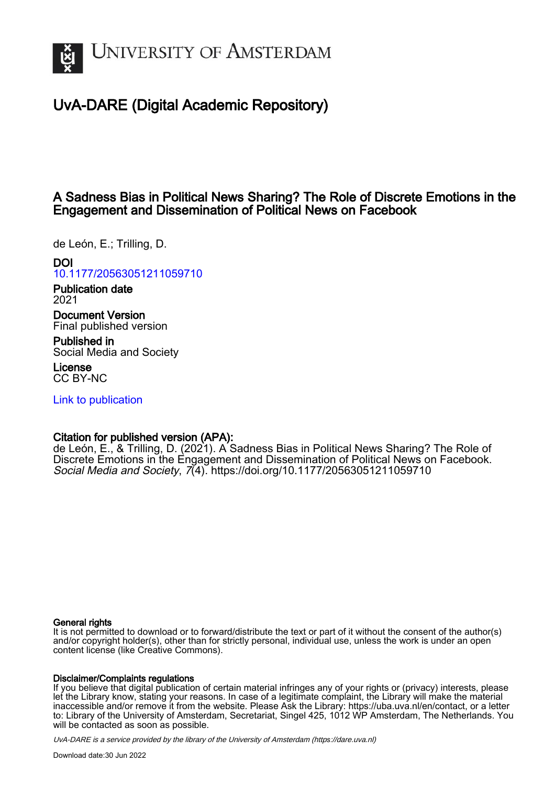

# UvA-DARE (Digital Academic Repository)

# A Sadness Bias in Political News Sharing? The Role of Discrete Emotions in the Engagement and Dissemination of Political News on Facebook

de León, E.; Trilling, D.

## DOI

[10.1177/20563051211059710](https://doi.org/10.1177/20563051211059710)

Publication date 2021

Document Version Final published version

Published in Social Media and Society

License CC BY-NC

[Link to publication](https://dare.uva.nl/personal/pure/en/publications/a-sadness-bias-in-political-news-sharing-the-role-of-discrete-emotions-in-the-engagement-and-dissemination-of-political-news-on-facebook(a7a03835-5f18-4f07-93ac-a3ab71c8d113).html)

## Citation for published version (APA):

de León, E., & Trilling, D. (2021). A Sadness Bias in Political News Sharing? The Role of Discrete Emotions in the Engagement and Dissemination of Political News on Facebook. Social Media and Society, 7(4).<https://doi.org/10.1177/20563051211059710>

## General rights

It is not permitted to download or to forward/distribute the text or part of it without the consent of the author(s) and/or copyright holder(s), other than for strictly personal, individual use, unless the work is under an open content license (like Creative Commons).

### Disclaimer/Complaints regulations

If you believe that digital publication of certain material infringes any of your rights or (privacy) interests, please let the Library know, stating your reasons. In case of a legitimate complaint, the Library will make the material inaccessible and/or remove it from the website. Please Ask the Library: https://uba.uva.nl/en/contact, or a letter to: Library of the University of Amsterdam, Secretariat, Singel 425, 1012 WP Amsterdam, The Netherlands. You will be contacted as soon as possible.

UvA-DARE is a service provided by the library of the University of Amsterdam (http*s*://dare.uva.nl)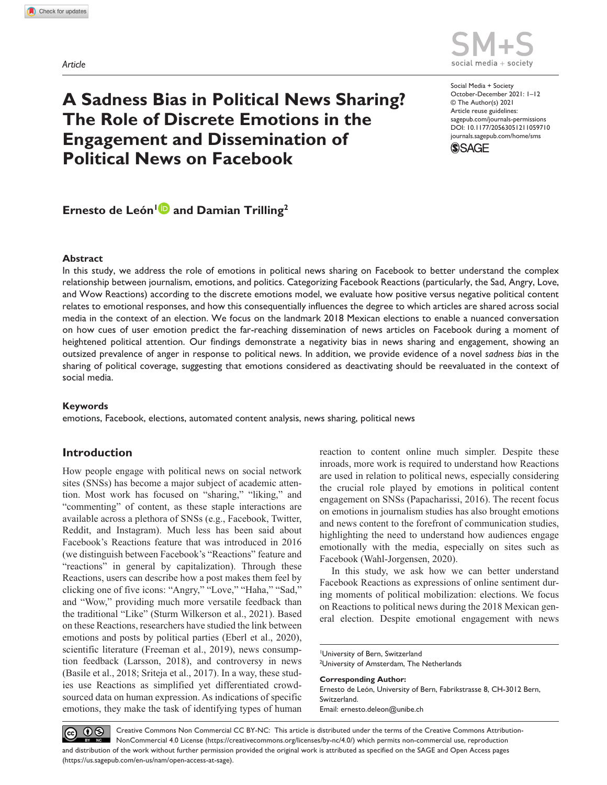*Article*



# **A Sadness Bias in Political News Sharing? The Role of Discrete Emotions in the Engagement and Dissemination of Political News on Facebook**

https://doi.org/10.1177/20563051211059710 DOI: 10.1177/20563051211059710 Social Media + Society October-December 2021: 1–12 © The Author(s) 2021 Article reuse guidelines: [sagepub.com/journals-permissions](https://uk.sagepub.com/en-gb/journals-permissions) [journals.sagepub.com/home/sms](https://journals.sagepub.com/home/sms)



# **Ernesto de León<sup>1</sup><sup>D</sup> and Damian Trilling<sup>2</sup>**

#### **Abstract**

In this study, we address the role of emotions in political news sharing on Facebook to better understand the complex relationship between journalism, emotions, and politics. Categorizing Facebook Reactions (particularly, the Sad, Angry, Love, and Wow Reactions) according to the discrete emotions model, we evaluate how positive versus negative political content relates to emotional responses, and how this consequentially influences the degree to which articles are shared across social media in the context of an election. We focus on the landmark 2018 Mexican elections to enable a nuanced conversation on how cues of user emotion predict the far-reaching dissemination of news articles on Facebook during a moment of heightened political attention. Our findings demonstrate a negativity bias in news sharing and engagement, showing an outsized prevalence of anger in response to political news. In addition, we provide evidence of a novel *sadness bias* in the sharing of political coverage, suggesting that emotions considered as deactivating should be reevaluated in the context of social media.

#### **Keywords**

emotions, Facebook, elections, automated content analysis, news sharing, political news

## **Introduction**

How people engage with political news on social network sites (SNSs) has become a major subject of academic attention. Most work has focused on "sharing," "liking," and "commenting" of content, as these staple interactions are available across a plethora of SNSs (e.g., Facebook, Twitter, Reddit, and Instagram). Much less has been said about Facebook's Reactions feature that was introduced in 2016 (we distinguish between Facebook's "Reactions" feature and "reactions" in general by capitalization). Through these Reactions, users can describe how a post makes them feel by clicking one of five icons: "Angry," "Love," "Haha," "Sad," and "Wow," providing much more versatile feedback than the traditional "Like" (Sturm Wilkerson et al., 2021). Based on these Reactions, researchers have studied the link between emotions and posts by political parties (Eberl et al., 2020), scientific literature (Freeman et al., 2019), news consumption feedback (Larsson, 2018), and controversy in news (Basile et al., 2018; Sriteja et al., 2017). In a way, these studies use Reactions as simplified yet differentiated crowdsourced data on human expression. As indications of specific emotions, they make the task of identifying types of human

reaction to content online much simpler. Despite these inroads, more work is required to understand how Reactions are used in relation to political news, especially considering the crucial role played by emotions in political content engagement on SNSs (Papacharissi, 2016). The recent focus on emotions in journalism studies has also brought emotions and news content to the forefront of communication studies, highlighting the need to understand how audiences engage emotionally with the media, especially on sites such as Facebook (Wahl-Jorgensen, 2020).

In this study, we ask how we can better understand Facebook Reactions as expressions of online sentiment during moments of political mobilization: elections. We focus on Reactions to political news during the 2018 Mexican general election. Despite emotional engagement with news

#### **Corresponding Author:**

Ernesto de León, University of Bern, Fabrikstrasse 8, CH-3012 Bern, Switzerland. Email: [ernesto.deleon@unibe.ch](mailto:ernesto.deleon@unibe.ch)

 $\circledcirc$  0  $\circledcirc$ Creative Commons Non Commercial CC BY-NC: This article is distributed under the terms of the Creative Commons Attribution-NonCommercial 4.0 License (https://creativecommons.org/licenses/by-nc/4.0/) which permits non-commercial use, reproduction and distribution of the work without further permission provided the original work is attributed as specified on the SAGE and Open Access pages (https://us.sagepub.com/en-us/nam/open-access-at-sage).

<sup>1</sup> University of Bern, Switzerland <sup>2</sup>University of Amsterdam, The Netherlands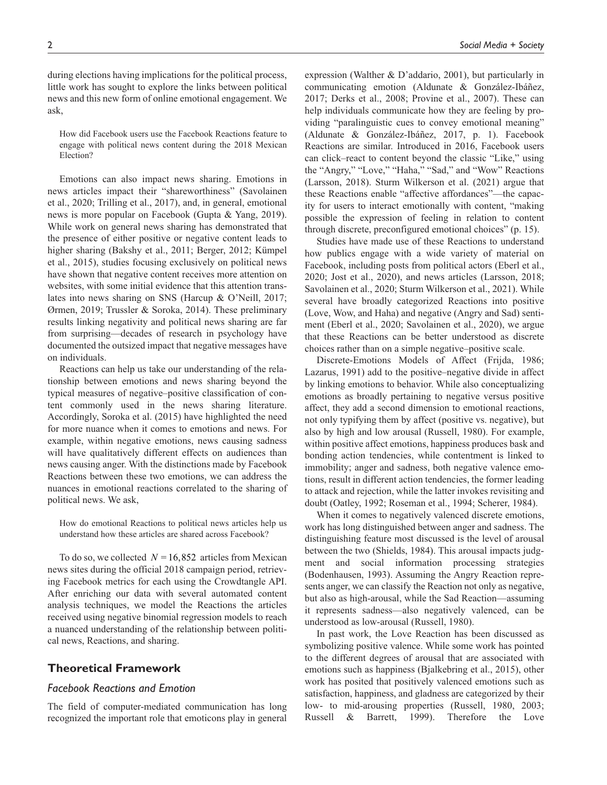during elections having implications for the political process, little work has sought to explore the links between political news and this new form of online emotional engagement. We ask,

How did Facebook users use the Facebook Reactions feature to engage with political news content during the 2018 Mexican Election?

Emotions can also impact news sharing. Emotions in news articles impact their "shareworthiness" (Savolainen et al., 2020; Trilling et al., 2017), and, in general, emotional news is more popular on Facebook (Gupta & Yang, 2019). While work on general news sharing has demonstrated that the presence of either positive or negative content leads to higher sharing (Bakshy et al., 2011; Berger, 2012; Kümpel et al., 2015), studies focusing exclusively on political news have shown that negative content receives more attention on websites, with some initial evidence that this attention translates into news sharing on SNS (Harcup & O'Neill, 2017; Ørmen, 2019; Trussler & Soroka, 2014). These preliminary results linking negativity and political news sharing are far from surprising—decades of research in psychology have documented the outsized impact that negative messages have on individuals.

Reactions can help us take our understanding of the relationship between emotions and news sharing beyond the typical measures of negative–positive classification of content commonly used in the news sharing literature. Accordingly, Soroka et al. (2015) have highlighted the need for more nuance when it comes to emotions and news. For example, within negative emotions, news causing sadness will have qualitatively different effects on audiences than news causing anger. With the distinctions made by Facebook Reactions between these two emotions, we can address the nuances in emotional reactions correlated to the sharing of political news. We ask,

How do emotional Reactions to political news articles help us understand how these articles are shared across Facebook?

To do so, we collected  $N = 16,852$  articles from Mexican news sites during the official 2018 campaign period, retrieving Facebook metrics for each using the Crowdtangle API. After enriching our data with several automated content analysis techniques, we model the Reactions the articles received using negative binomial regression models to reach a nuanced understanding of the relationship between political news, Reactions, and sharing.

#### **Theoretical Framework**

#### *Facebook Reactions and Emotion*

The field of computer-mediated communication has long recognized the important role that emoticons play in general

expression (Walther & D'addario, 2001), but particularly in communicating emotion (Aldunate & González-Ibáñez, 2017; Derks et al., 2008; Provine et al., 2007). These can help individuals communicate how they are feeling by providing "paralinguistic cues to convey emotional meaning" (Aldunate & González-Ibáñez, 2017, p. 1). Facebook Reactions are similar. Introduced in 2016, Facebook users can click–react to content beyond the classic "Like," using the "Angry," "Love," "Haha," "Sad," and "Wow" Reactions (Larsson, 2018). Sturm Wilkerson et al. (2021) argue that these Reactions enable "affective affordances"—the capacity for users to interact emotionally with content, "making possible the expression of feeling in relation to content through discrete, preconfigured emotional choices" (p. 15).

Studies have made use of these Reactions to understand how publics engage with a wide variety of material on Facebook, including posts from political actors (Eberl et al., 2020; Jost et al., 2020), and news articles (Larsson, 2018; Savolainen et al., 2020; Sturm Wilkerson et al., 2021). While several have broadly categorized Reactions into positive (Love, Wow, and Haha) and negative (Angry and Sad) sentiment (Eberl et al., 2020; Savolainen et al., 2020), we argue that these Reactions can be better understood as discrete choices rather than on a simple negative–positive scale.

Discrete-Emotions Models of Affect (Frijda, 1986; Lazarus, 1991) add to the positive–negative divide in affect by linking emotions to behavior. While also conceptualizing emotions as broadly pertaining to negative versus positive affect, they add a second dimension to emotional reactions, not only typifying them by affect (positive vs. negative), but also by high and low arousal (Russell, 1980). For example, within positive affect emotions, happiness produces bask and bonding action tendencies, while contentment is linked to immobility; anger and sadness, both negative valence emotions, result in different action tendencies, the former leading to attack and rejection, while the latter invokes revisiting and doubt (Oatley, 1992; Roseman et al., 1994; Scherer, 1984).

When it comes to negatively valenced discrete emotions, work has long distinguished between anger and sadness. The distinguishing feature most discussed is the level of arousal between the two (Shields, 1984). This arousal impacts judgment and social information processing strategies (Bodenhausen, 1993). Assuming the Angry Reaction represents anger, we can classify the Reaction not only as negative, but also as high-arousal, while the Sad Reaction—assuming it represents sadness—also negatively valenced, can be understood as low-arousal (Russell, 1980).

In past work, the Love Reaction has been discussed as symbolizing positive valence. While some work has pointed to the different degrees of arousal that are associated with emotions such as happiness (Bjalkebring et al., 2015), other work has posited that positively valenced emotions such as satisfaction, happiness, and gladness are categorized by their low- to mid-arousing properties (Russell, 1980, 2003; Russell & Barrett, 1999). Therefore the Love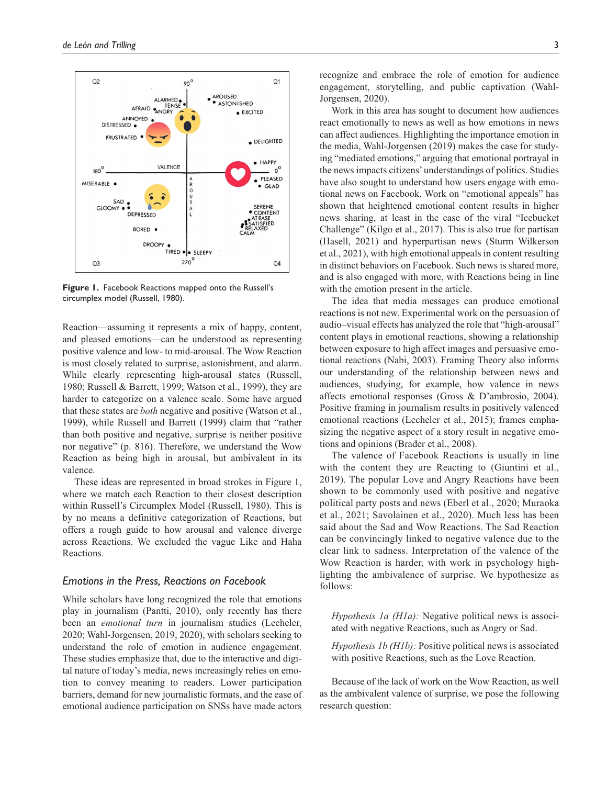

**Figure 1.** Facebook Reactions mapped onto the Russell's circumplex model (Russell, 1980).

Reaction—assuming it represents a mix of happy, content, and pleased emotions—can be understood as representing positive valence and low- to mid-arousal. The Wow Reaction is most closely related to surprise, astonishment, and alarm. While clearly representing high-arousal states (Russell, 1980; Russell & Barrett, 1999; Watson et al., 1999), they are harder to categorize on a valence scale. Some have argued that these states are *both* negative and positive (Watson et al., 1999), while Russell and Barrett (1999) claim that "rather than both positive and negative, surprise is neither positive nor negative" (p. 816). Therefore, we understand the Wow Reaction as being high in arousal, but ambivalent in its valence.

These ideas are represented in broad strokes in Figure 1, where we match each Reaction to their closest description within Russell's Circumplex Model (Russell, 1980). This is by no means a definitive categorization of Reactions, but offers a rough guide to how arousal and valence diverge across Reactions. We excluded the vague Like and Haha Reactions.

#### *Emotions in the Press, Reactions on Facebook*

While scholars have long recognized the role that emotions play in journalism (Pantti, 2010), only recently has there been an *emotional turn* in journalism studies (Lecheler, 2020; Wahl-Jorgensen, 2019, 2020), with scholars seeking to understand the role of emotion in audience engagement. These studies emphasize that, due to the interactive and digital nature of today's media, news increasingly relies on emotion to convey meaning to readers. Lower participation barriers, demand for new journalistic formats, and the ease of emotional audience participation on SNSs have made actors

recognize and embrace the role of emotion for audience engagement, storytelling, and public captivation (Wahl-Jorgensen, 2020).

Work in this area has sought to document how audiences react emotionally to news as well as how emotions in news can affect audiences. Highlighting the importance emotion in the media, Wahl-Jorgensen (2019) makes the case for studying "mediated emotions," arguing that emotional portrayal in the news impacts citizens' understandings of politics. Studies have also sought to understand how users engage with emotional news on Facebook. Work on "emotional appeals" has shown that heightened emotional content results in higher news sharing, at least in the case of the viral "Icebucket Challenge" (Kilgo et al., 2017). This is also true for partisan (Hasell, 2021) and hyperpartisan news (Sturm Wilkerson et al., 2021), with high emotional appeals in content resulting in distinct behaviors on Facebook. Such news is shared more, and is also engaged with more, with Reactions being in line with the emotion present in the article.

The idea that media messages can produce emotional reactions is not new. Experimental work on the persuasion of audio–visual effects has analyzed the role that "high-arousal" content plays in emotional reactions, showing a relationship between exposure to high affect images and persuasive emotional reactions (Nabi, 2003). Framing Theory also informs our understanding of the relationship between news and audiences, studying, for example, how valence in news affects emotional responses (Gross & D'ambrosio, 2004). Positive framing in journalism results in positively valenced emotional reactions (Lecheler et al., 2015); frames emphasizing the negative aspect of a story result in negative emotions and opinions (Brader et al., 2008).

The valence of Facebook Reactions is usually in line with the content they are Reacting to (Giuntini et al., 2019). The popular Love and Angry Reactions have been shown to be commonly used with positive and negative political party posts and news (Eberl et al., 2020; Muraoka et al., 2021; Savolainen et al., 2020). Much less has been said about the Sad and Wow Reactions. The Sad Reaction can be convincingly linked to negative valence due to the clear link to sadness. Interpretation of the valence of the Wow Reaction is harder, with work in psychology highlighting the ambivalence of surprise. We hypothesize as follows:

*Hypothesis 1a (H1a):* Negative political news is associated with negative Reactions, such as Angry or Sad.

*Hypothesis 1b (H1b):* Positive political news is associated with positive Reactions, such as the Love Reaction.

Because of the lack of work on the Wow Reaction, as well as the ambivalent valence of surprise, we pose the following research question: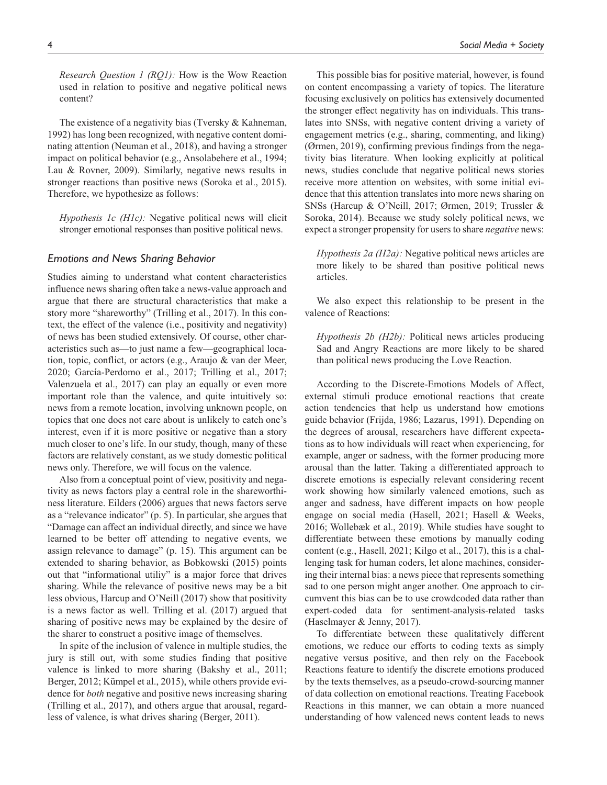*Research Question 1 (RQ1):* How is the Wow Reaction used in relation to positive and negative political news content?

The existence of a negativity bias (Tversky & Kahneman, 1992) has long been recognized, with negative content dominating attention (Neuman et al., 2018), and having a stronger impact on political behavior (e.g., Ansolabehere et al., 1994; Lau & Rovner, 2009). Similarly, negative news results in stronger reactions than positive news (Soroka et al., 2015). Therefore, we hypothesize as follows:

*Hypothesis 1c (H1c):* Negative political news will elicit stronger emotional responses than positive political news.

#### *Emotions and News Sharing Behavior*

Studies aiming to understand what content characteristics influence news sharing often take a news-value approach and argue that there are structural characteristics that make a story more "shareworthy" (Trilling et al., 2017). In this context, the effect of the valence (i.e., positivity and negativity) of news has been studied extensively. Of course, other characteristics such as—to just name a few—geographical location, topic, conflict, or actors (e.g., Araujo & van der Meer, 2020; García-Perdomo et al., 2017; Trilling et al., 2017; Valenzuela et al., 2017) can play an equally or even more important role than the valence, and quite intuitively so: news from a remote location, involving unknown people, on topics that one does not care about is unlikely to catch one's interest, even if it is more positive or negative than a story much closer to one's life. In our study, though, many of these factors are relatively constant, as we study domestic political news only. Therefore, we will focus on the valence.

Also from a conceptual point of view, positivity and negativity as news factors play a central role in the shareworthiness literature. Eilders (2006) argues that news factors serve as a "relevance indicator" (p. 5). In particular, she argues that "Damage can affect an individual directly, and since we have learned to be better off attending to negative events, we assign relevance to damage" (p. 15). This argument can be extended to sharing behavior, as Bobkowski (2015) points out that "informational utiliy" is a major force that drives sharing. While the relevance of positive news may be a bit less obvious, Harcup and O'Neill (2017) show that positivity is a news factor as well. Trilling et al. (2017) argued that sharing of positive news may be explained by the desire of the sharer to construct a positive image of themselves.

In spite of the inclusion of valence in multiple studies, the jury is still out, with some studies finding that positive valence is linked to more sharing (Bakshy et al., 2011; Berger, 2012; Kümpel et al., 2015), while others provide evidence for *both* negative and positive news increasing sharing (Trilling et al., 2017), and others argue that arousal, regardless of valence, is what drives sharing (Berger, 2011).

This possible bias for positive material, however, is found on content encompassing a variety of topics. The literature focusing exclusively on politics has extensively documented the stronger effect negativity has on individuals. This translates into SNSs, with negative content driving a variety of engagement metrics (e.g., sharing, commenting, and liking) (Ørmen, 2019), confirming previous findings from the negativity bias literature. When looking explicitly at political news, studies conclude that negative political news stories receive more attention on websites, with some initial evidence that this attention translates into more news sharing on SNSs (Harcup & O'Neill, 2017; Ørmen, 2019; Trussler & Soroka, 2014). Because we study solely political news, we expect a stronger propensity for users to share *negative* news:

*Hypothesis 2a (H2a):* Negative political news articles are more likely to be shared than positive political news articles.

We also expect this relationship to be present in the valence of Reactions:

*Hypothesis 2b (H2b):* Political news articles producing Sad and Angry Reactions are more likely to be shared than political news producing the Love Reaction.

According to the Discrete-Emotions Models of Affect, external stimuli produce emotional reactions that create action tendencies that help us understand how emotions guide behavior (Frijda, 1986; Lazarus, 1991). Depending on the degrees of arousal, researchers have different expectations as to how individuals will react when experiencing, for example, anger or sadness, with the former producing more arousal than the latter. Taking a differentiated approach to discrete emotions is especially relevant considering recent work showing how similarly valenced emotions, such as anger and sadness, have different impacts on how people engage on social media (Hasell, 2021; Hasell & Weeks, 2016; Wollebæk et al., 2019). While studies have sought to differentiate between these emotions by manually coding content (e.g., Hasell, 2021; Kilgo et al., 2017), this is a challenging task for human coders, let alone machines, considering their internal bias: a news piece that represents something sad to one person might anger another. One approach to circumvent this bias can be to use crowdcoded data rather than expert-coded data for sentiment-analysis-related tasks (Haselmayer & Jenny, 2017).

To differentiate between these qualitatively different emotions, we reduce our efforts to coding texts as simply negative versus positive, and then rely on the Facebook Reactions feature to identify the discrete emotions produced by the texts themselves, as a pseudo-crowd-sourcing manner of data collection on emotional reactions. Treating Facebook Reactions in this manner, we can obtain a more nuanced understanding of how valenced news content leads to news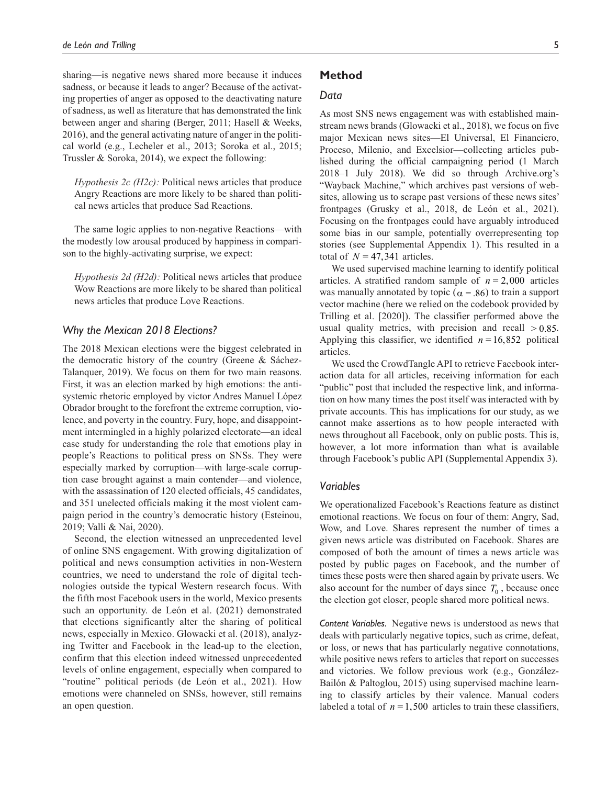sharing—is negative news shared more because it induces sadness, or because it leads to anger? Because of the activating properties of anger as opposed to the deactivating nature of sadness, as well as literature that has demonstrated the link between anger and sharing (Berger, 2011; Hasell & Weeks, 2016), and the general activating nature of anger in the political world (e.g., Lecheler et al., 2013; Soroka et al., 2015; Trussler & Soroka, 2014), we expect the following:

*Hypothesis 2c (H2c):* Political news articles that produce Angry Reactions are more likely to be shared than political news articles that produce Sad Reactions.

The same logic applies to non-negative Reactions—with the modestly low arousal produced by happiness in comparison to the highly-activating surprise, we expect:

*Hypothesis 2d (H2d):* Political news articles that produce Wow Reactions are more likely to be shared than political news articles that produce Love Reactions.

#### *Why the Mexican 2018 Elections?*

The 2018 Mexican elections were the biggest celebrated in the democratic history of the country (Greene & Sáchez-Talanquer, 2019). We focus on them for two main reasons. First, it was an election marked by high emotions: the antisystemic rhetoric employed by victor Andres Manuel López Obrador brought to the forefront the extreme corruption, violence, and poverty in the country. Fury, hope, and disappointment intermingled in a highly polarized electorate—an ideal case study for understanding the role that emotions play in people's Reactions to political press on SNSs. They were especially marked by corruption—with large-scale corruption case brought against a main contender—and violence, with the assassination of 120 elected officials, 45 candidates, and 351 unelected officials making it the most violent campaign period in the country's democratic history (Esteinou, 2019; Valli & Nai, 2020).

Second, the election witnessed an unprecedented level of online SNS engagement. With growing digitalization of political and news consumption activities in non-Western countries, we need to understand the role of digital technologies outside the typical Western research focus. With the fifth most Facebook users in the world, Mexico presents such an opportunity. de León et al. (2021) demonstrated that elections significantly alter the sharing of political news, especially in Mexico. Glowacki et al. (2018), analyzing Twitter and Facebook in the lead-up to the election, confirm that this election indeed witnessed unprecedented levels of online engagement, especially when compared to "routine" political periods (de León et al., 2021). How emotions were channeled on SNSs, however, still remains an open question.

#### **Method**

#### *Data*

As most SNS news engagement was with established mainstream news brands (Glowacki et al., 2018), we focus on five major Mexican news sites—El Universal, El Financiero, Proceso, Milenio, and Excelsior—collecting articles published during the official campaigning period (1 March 2018–1 July 2018). We did so through Archive.org's "Wayback Machine," which archives past versions of websites, allowing us to scrape past versions of these news sites' frontpages (Grusky et al., 2018, de León et al., 2021). Focusing on the frontpages could have arguably introduced some bias in our sample, potentially overrepresenting top stories (see Supplemental Appendix 1). This resulted in a total of  $N = 47,341$  articles.

We used supervised machine learning to identify political articles. A stratified random sample of  $n = 2,000$  articles was manually annotated by topic ( $\alpha$  = .86) to train a support vector machine (here we relied on the codebook provided by Trilling et al. [2020]). The classifier performed above the usual quality metrics, with precision and recall  $> 0.85$ . Applying this classifier, we identified  $n = 16,852$  political articles.

We used the CrowdTangle API to retrieve Facebook interaction data for all articles, receiving information for each "public" post that included the respective link, and information on how many times the post itself was interacted with by private accounts. This has implications for our study, as we cannot make assertions as to how people interacted with news throughout all Facebook, only on public posts. This is, however, a lot more information than what is available through Facebook's public API (Supplemental Appendix 3).

#### *Variables*

We operationalized Facebook's Reactions feature as distinct emotional reactions. We focus on four of them: Angry, Sad, Wow, and Love. Shares represent the number of times a given news article was distributed on Facebook. Shares are composed of both the amount of times a news article was posted by public pages on Facebook, and the number of times these posts were then shared again by private users. We also account for the number of days since  $T_0$ , because once the election got closer, people shared more political news.

*Content Variables.* Negative news is understood as news that deals with particularly negative topics, such as crime, defeat, or loss, or news that has particularly negative connotations, while positive news refers to articles that report on successes and victories. We follow previous work (e.g., González-Bailón & Paltoglou, 2015) using supervised machine learning to classify articles by their valence. Manual coders labeled a total of  $n = 1,500$  articles to train these classifiers,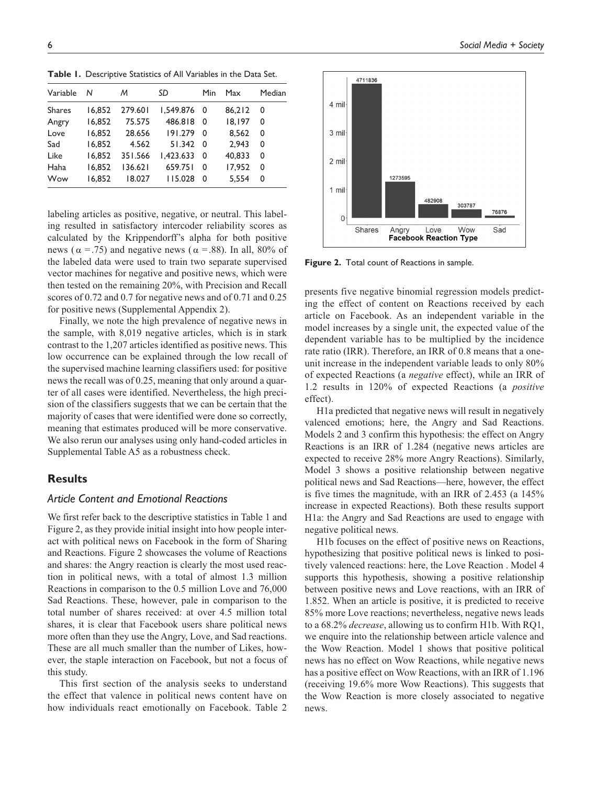**Table 1.** Descriptive Statistics of All Variables in the Data Set.

| Variable      | N      | м       | SD            | <b>Min</b>     | Max    | Median |
|---------------|--------|---------|---------------|----------------|--------|--------|
| <b>Shares</b> | 16.852 | 279.601 | $1.549.876$ 0 |                | 86.212 | 0      |
| Angry         | 16.852 | 75.575  | 486.818       | $\overline{0}$ | 18.197 | 0      |
| Love          | 16.852 | 28.656  | 191.279       | - 0            | 8.562  | 0      |
| Sad           | 16.852 | 4.562   | $51.342$ 0    |                | 2.943  | 0      |
| Like          | 16.852 | 351.566 | 1.423.6330    |                | 40.833 | 0      |
| Haha          | 16.852 | 136.621 | 659.751       | - 0            | 17.952 | 0      |
| Wow           | 16.852 | 18.027  | 115.028       | $\Omega$       | 5.554  | 0      |
|               |        |         |               |                |        |        |

labeling articles as positive, negative, or neutral. This labeling resulted in satisfactory intercoder reliability scores as calculated by the Krippendorff's alpha for both positive news ( $\alpha$  = .75) and negative news ( $\alpha$  = .88). In all, 80% of the labeled data were used to train two separate supervised vector machines for negative and positive news, which were then tested on the remaining 20%, with Precision and Recall scores of 0.72 and 0.7 for negative news and of 0.71 and 0.25 for positive news (Supplemental Appendix 2).

Finally, we note the high prevalence of negative news in the sample, with 8,019 negative articles, which is in stark contrast to the 1,207 articles identified as positive news. This low occurrence can be explained through the low recall of the supervised machine learning classifiers used: for positive news the recall was of 0.25, meaning that only around a quarter of all cases were identified. Nevertheless, the high precision of the classifiers suggests that we can be certain that the majority of cases that were identified were done so correctly, meaning that estimates produced will be more conservative. We also rerun our analyses using only hand-coded articles in Supplemental Table A5 as a robustness check.

### **Results**

#### *Article Content and Emotional Reactions*

We first refer back to the descriptive statistics in Table 1 and Figure 2, as they provide initial insight into how people interact with political news on Facebook in the form of Sharing and Reactions. Figure 2 showcases the volume of Reactions and shares: the Angry reaction is clearly the most used reaction in political news, with a total of almost 1.3 million Reactions in comparison to the 0.5 million Love and 76,000 Sad Reactions. These, however, pale in comparison to the total number of shares received: at over 4.5 million total shares, it is clear that Facebook users share political news more often than they use the Angry, Love, and Sad reactions. These are all much smaller than the number of Likes, however, the staple interaction on Facebook, but not a focus of this study.

This first section of the analysis seeks to understand the effect that valence in political news content have on how individuals react emotionally on Facebook. Table 2

4711836 4 mil 3 mil 2 mil 1273595 1 mil 482908 303787 76876  $\overline{0}$ Wow Shares Angry Love Sad **Facebook Reaction Type** 

**Figure 2.** Total count of Reactions in sample.

presents five negative binomial regression models predicting the effect of content on Reactions received by each article on Facebook. As an independent variable in the model increases by a single unit, the expected value of the dependent variable has to be multiplied by the incidence rate ratio (IRR). Therefore, an IRR of 0.8 means that a oneunit increase in the independent variable leads to only 80% of expected Reactions (a *negative* effect), while an IRR of 1.2 results in 120% of expected Reactions (a *positive* effect).

H1a predicted that negative news will result in negatively valenced emotions; here, the Angry and Sad Reactions. Models 2 and 3 confirm this hypothesis: the effect on Angry Reactions is an IRR of 1.284 (negative news articles are expected to receive 28% more Angry Reactions). Similarly, Model 3 shows a positive relationship between negative political news and Sad Reactions—here, however, the effect is five times the magnitude, with an IRR of 2.453 (a 145% increase in expected Reactions). Both these results support H1a: the Angry and Sad Reactions are used to engage with negative political news.

H1b focuses on the effect of positive news on Reactions, hypothesizing that positive political news is linked to positively valenced reactions: here, the Love Reaction . Model 4 supports this hypothesis, showing a positive relationship between positive news and Love reactions, with an IRR of 1.852. When an article is positive, it is predicted to receive 85% more Love reactions; nevertheless, negative news leads to a 68.2% *decrease*, allowing us to confirm H1b. With RQ1, we enquire into the relationship between article valence and the Wow Reaction. Model 1 shows that positive political news has no effect on Wow Reactions, while negative news has a positive effect on Wow Reactions, with an IRR of 1.196 (receiving 19.6% more Wow Reactions). This suggests that the Wow Reaction is more closely associated to negative news.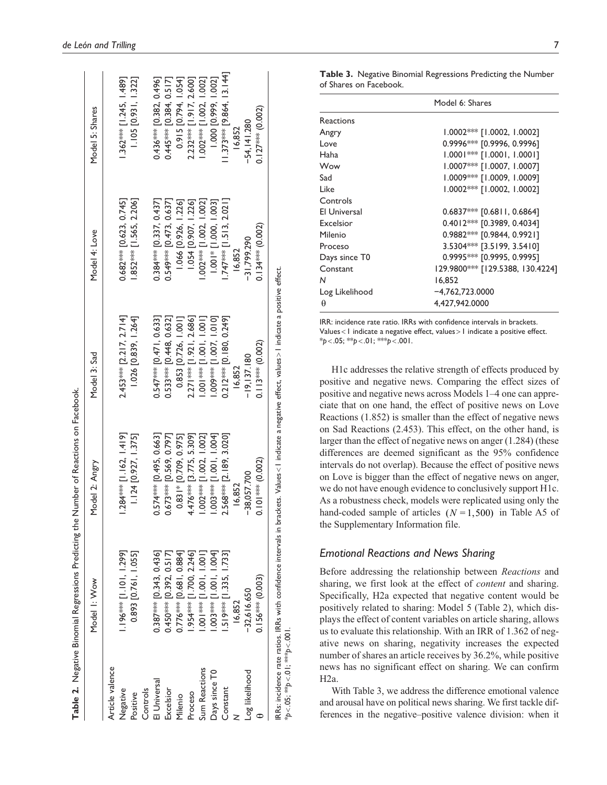|                 | Table 2. Negative Binomial Regressions Predicting the | Number of Reactions on Facebook.                                                                                                                     |                            |                           |                            |
|-----------------|-------------------------------------------------------|------------------------------------------------------------------------------------------------------------------------------------------------------|----------------------------|---------------------------|----------------------------|
|                 | Model I: Wow                                          | Model 2: Angry                                                                                                                                       | Model 3: Sad               | Model 4: Love             | Model 5: Shares            |
| Article valence |                                                       |                                                                                                                                                      |                            |                           |                            |
| Negative        | 1.196*** [1.101, 1.299]                               | $1.284***$ [1.162, 1.419]                                                                                                                            | 2.453*** [2.217, 2.714]    | $0.682***$ [0.623, 0.745] | 1.362*** [1.245, 1.489]    |
| Positive        | 0.893 [0.761, 1.055]                                  | 1.124 [0.927, 1.375]                                                                                                                                 | 1.026 [0.839, 1.264]       | 1.852**** [1.565, 2.206]  | 1.105 [0.931, 1.322]       |
| Controls        |                                                       |                                                                                                                                                      |                            |                           |                            |
| El Universal    | $0.387***$ [0.343, 0.436]                             | 0.574**** [0.495, 0.663]                                                                                                                             | $0.547***$ [0.471, 0.633]  | $0.384***$ [0.337, 0.437] | 0.436*** [0.382, 0.496]    |
| Excelsior       | 0.450*** [0.392, 0.517]                               | $0.673***$ [0.569, 0.797]                                                                                                                            | 0.533**** [0.448, 0.632]   | $0.549***$ [0.473, 0.637] | $0.445***$ [0.384, 0.517]  |
| Milenio         | $0.776***$ [0.681, 0.884]                             | 0.83  * [0.709, 0.975]                                                                                                                               | 0.853 [0.726, 1.001]       | 1.066 [0.926, 1.226]      | 0.915 [0.794, 1.054]       |
| Proceso         | 954*** [1.700, 2.246]                                 | 4.476**** [3.775, 5.309]                                                                                                                             | 2.271*** [1.921, 2.686]    | 1.054 [0.907, 1.226]      | 2.232*** [1.917, 2.600]    |
| Sum Reactions   | 1.001, 100.1, 1001                                    | $1.002$ <sup>***</sup> [1.002, 1.002]                                                                                                                | $1.001$ *** [1.001, 1.001] | $1.002***$ [1.002, 1.002] | 1.002*** [1.002, 1.002]    |
| Days since T0   | .003**** [1.001, 1.004]                               | $1.003***$ [1.001, 1.004]                                                                                                                            | $1.009***$ [1.007, 1.010]  | $1.001*$ [1.000, 1.003]   | 1.000 [0.999, 1.002]       |
| Constant        | 519*** [1.335, 1.733]                                 | 2.568*** [2.189, 3.020]                                                                                                                              | 0.212*** [0.180, 0.249]    | .747*** [1.513, 2.021]    | $1.373***$ [9.864, 13.144] |
|                 | 16,852                                                | 16,852                                                                                                                                               | 16,852                     | 16,852                    | 16,852                     |
| Log likelihood  | $-32,616.650$                                         | $-38,057.700$                                                                                                                                        | $-19.137.180$              | $-31.799.290$             | $-54.141.280$              |
|                 | $0.156*** (0.003)$                                    | $0.101***$ (0.002)                                                                                                                                   | $0.113***$ (0.002)         | $0.134***$ (0.002)        | $0.127***$ (0.002)         |
|                 |                                                       | RRs: incidence rate ratios. IRRs with confidence intervals in brackets. Values < 1 indicate a negative effect, values >1 indicate a positive effect. |                            |                           |                            |

| I<br>ŕ                                 | _<br>-<br>-<br>><br>>                 | <b>ITAN'N</b>    | ITAN'S<br>$\sum_{i=1}^{n}$              | シートワニン    |
|----------------------------------------|---------------------------------------|------------------|-----------------------------------------|-----------|
| IRRs: i                                | irval<br>contidance into<br>RRs with. | $_{\text{ules}}$ | è.<br>$-4.6$<br>" ottect, values > 1 mm | ∵∽ettect. |
| $-$ 32302.<br>$b < 0.05$ ; $44b < 0.0$ |                                       |                  |                                         |           |

| l                                                                                     |
|---------------------------------------------------------------------------------------|
| ובמת בת היה ה                                                                         |
|                                                                                       |
|                                                                                       |
|                                                                                       |
|                                                                                       |
| l                                                                                     |
| $\frac{1}{2}$                                                                         |
|                                                                                       |
|                                                                                       |
|                                                                                       |
|                                                                                       |
|                                                                                       |
|                                                                                       |
| ١                                                                                     |
| ֧֧ׅ֪֧֧֪֧֪֧֪ׅ֧֪֪ׅ֪֪ׅ֪֪ׅ֧֚֚֚֚֚֚֚֚֚֚֚֚֚֚֚֚֚֚֚֚֚֚֚֚֚֚֚֚֚֬֘֝֓֝֓֟֓֡֓֡֟֓֡֡֡֓֞֟֓֡֡֓֡֝֓֝֬֝֓֝֬֓ |
| ׇ֚֘                                                                                   |
|                                                                                       |
| Í                                                                                     |
|                                                                                       |
|                                                                                       |
|                                                                                       |
| J                                                                                     |
|                                                                                       |
| ı                                                                                     |
|                                                                                       |
|                                                                                       |
|                                                                                       |
|                                                                                       |
|                                                                                       |
|                                                                                       |
| ١                                                                                     |
|                                                                                       |
|                                                                                       |
|                                                                                       |
|                                                                                       |
| I                                                                                     |
|                                                                                       |

**Table 3.** Negative Binomial Regressions Predicting the Number of Shares on Facebook.

|                     | Model 6: Shares                  |
|---------------------|----------------------------------|
| Reactions           |                                  |
| Angry               | 1.0002*** [1.0002, 1.0002]       |
| Love                | $0.9996***$ [0.9996, 0.9996]     |
| Haha                | $1.0001$ *** [1.0001, 1.0001]    |
| Wow                 | 1.0007*** [1.0007, 1.0007]       |
| Sad                 | 1.0009*** [1.0009, 1.0009]       |
| Like                | $1.0002$ *** [1.0002, 1.0002]    |
| Controls            |                                  |
| <b>El Universal</b> | $0.6837***$ [0.6811, 0.6864]     |
| Excelsion           | $0.4012***$ [0.3989, 0.4034]     |
| Milenio             | 0.9882*** [0.9844, 0.9921]       |
| Proceso             | 3.5304 *** [3.5199, 3.5410]      |
| Days since T0       | 0.9995 *** [0.9995, 0.9995]      |
| Constant            | 129.9800*** [129.5388, 130.4224] |
| N                   | 16.852                           |
| Log Likelihood      | $-4,762,723.0000$                |
| θ                   | 4,427,942.0000                   |

IRR: incidence rate ratio. IRRs with confidence intervals in brackets. Values<1 indicate a negative effect, values>1 indicate a positive effect. \**p*<.05; \*\**p*<.01; \*\*\**p*<.001.

H1c addresses the relative strength of effects produced by positive and negative news. Comparing the effect sizes of positive and negative news across Models 1–4 one can appreciate that on one hand, the effect of positive news on Love Reactions (1.852) is smaller than the effect of negative news on Sad Reactions (2.453). This effect, on the other hand, is larger than the effect of negative news on anger (1.284) (these differences are deemed significant as the 95% confidence intervals do not overlap). Because the effect of positive news on Love is bigger than the effect of negative news on anger, we do not have enough evidence to conclusively support H1c. As a robustness check, models were replicated using only the hand-coded sample of articles  $(N=1,500)$  in Table A5 of the Supplementary Information file.

#### *Emotional Reactions and News Sharing*

Before addressing the relationship between *Reactions* and sharing, we first look at the effect of *content* and sharing. Specifically, H2a expected that negative content would be positively related to sharing: Model 5 (Table 2), which displays the effect of content variables on article sharing, allows us to evaluate this relationship. With an IRR of 1.362 of negative news on sharing, negativity increases the expected number of shares an article receives by 36.2%, while positive news has no significant effect on sharing. We can confirm H2a.

With Table 3, we address the difference emotional valence and arousal have on political news sharing. We first tackle differences in the negative–positive valence division: when it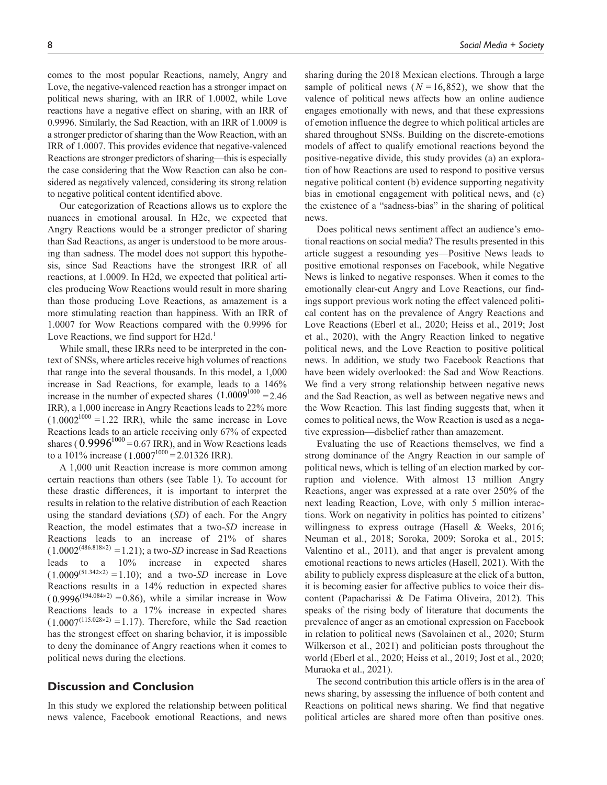comes to the most popular Reactions, namely, Angry and Love, the negative-valenced reaction has a stronger impact on political news sharing, with an IRR of 1.0002, while Love reactions have a negative effect on sharing, with an IRR of 0.9996. Similarly, the Sad Reaction, with an IRR of 1.0009 is a stronger predictor of sharing than the Wow Reaction, with an IRR of 1.0007. This provides evidence that negative-valenced Reactions are stronger predictors of sharing—this is especially the case considering that the Wow Reaction can also be considered as negatively valenced, considering its strong relation to negative political content identified above.

Our categorization of Reactions allows us to explore the nuances in emotional arousal. In H2c, we expected that Angry Reactions would be a stronger predictor of sharing than Sad Reactions, as anger is understood to be more arousing than sadness. The model does not support this hypothesis, since Sad Reactions have the strongest IRR of all reactions, at 1.0009. In H2d, we expected that political articles producing Wow Reactions would result in more sharing than those producing Love Reactions, as amazement is a more stimulating reaction than happiness. With an IRR of 1.0007 for Wow Reactions compared with the 0.9996 for Love Reactions, we find support for H2d.<sup>1</sup>

While small, these IRRs need to be interpreted in the context of SNSs, where articles receive high volumes of reactions that range into the several thousands. In this model, a 1,000 increase in Sad Reactions, for example, leads to a 146% increase in the number of expected shares  $(1.0009^{1000} = 2.46$ IRR), a 1,000 increase in Angry Reactions leads to 22% more  $(1.0002^{1000} = 1.22 \text{ IRR})$ , while the same increase in Love Reactions leads to an article receiving only 67% of expected shares ( $0.9996^{1000}$  = 0.67 IRR), and in Wow Reactions leads to a 101% increase (1.0007<sup>1000</sup> = 2.01326 IRR).

A 1,000 unit Reaction increase is more common among certain reactions than others (see Table 1). To account for these drastic differences, it is important to interpret the results in relation to the relative distribution of each Reaction using the standard deviations (*SD*) of each. For the Angry Reaction, the model estimates that a two-*SD* increase in Reactions leads to an increase of 21% of shares  $(1.0002^{(486.818\times2)} = 1.21)$ ; a two-*SD* increase in Sad Reactions leads to a 10% increase in expected shares  $(1.0009^{(51.342 \times 2)} = 1.10)$ ; and a two-*SD* increase in Love Reactions results in a 14% reduction in expected shares  $(0.9996^{(194.084\times2)} = 0.86)$ , while a similar increase in Wow Reactions leads to a 17% increase in expected shares  $(1.0007^{(115.028\times2)} = 1.17)$ . Therefore, while the Sad reaction has the strongest effect on sharing behavior, it is impossible to deny the dominance of Angry reactions when it comes to political news during the elections.

### **Discussion and Conclusion**

In this study we explored the relationship between political news valence, Facebook emotional Reactions, and news

sharing during the 2018 Mexican elections. Through a large sample of political news ( $N = 16,852$ ), we show that the valence of political news affects how an online audience engages emotionally with news, and that these expressions of emotion influence the degree to which political articles are shared throughout SNSs. Building on the discrete-emotions models of affect to qualify emotional reactions beyond the positive-negative divide, this study provides (a) an exploration of how Reactions are used to respond to positive versus negative political content (b) evidence supporting negativity bias in emotional engagement with political news, and (c) the existence of a "sadness-bias" in the sharing of political news.

Does political news sentiment affect an audience's emotional reactions on social media? The results presented in this article suggest a resounding yes—Positive News leads to positive emotional responses on Facebook, while Negative News is linked to negative responses. When it comes to the emotionally clear-cut Angry and Love Reactions, our findings support previous work noting the effect valenced political content has on the prevalence of Angry Reactions and Love Reactions (Eberl et al., 2020; Heiss et al., 2019; Jost et al., 2020), with the Angry Reaction linked to negative political news, and the Love Reaction to positive political news. In addition, we study two Facebook Reactions that have been widely overlooked: the Sad and Wow Reactions. We find a very strong relationship between negative news and the Sad Reaction, as well as between negative news and the Wow Reaction. This last finding suggests that, when it comes to political news, the Wow Reaction is used as a negative expression—disbelief rather than amazement.

Evaluating the use of Reactions themselves, we find a strong dominance of the Angry Reaction in our sample of political news, which is telling of an election marked by corruption and violence. With almost 13 million Angry Reactions, anger was expressed at a rate over 250% of the next leading Reaction, Love, with only 5 million interactions. Work on negativity in politics has pointed to citizens' willingness to express outrage (Hasell & Weeks, 2016; Neuman et al., 2018; Soroka, 2009; Soroka et al., 2015; Valentino et al., 2011), and that anger is prevalent among emotional reactions to news articles (Hasell, 2021). With the ability to publicly express displeasure at the click of a button, it is becoming easier for affective publics to voice their discontent (Papacharissi & De Fatima Oliveira, 2012). This speaks of the rising body of literature that documents the prevalence of anger as an emotional expression on Facebook in relation to political news (Savolainen et al., 2020; Sturm Wilkerson et al., 2021) and politician posts throughout the world (Eberl et al., 2020; Heiss et al., 2019; Jost et al., 2020; Muraoka et al., 2021).

The second contribution this article offers is in the area of news sharing, by assessing the influence of both content and Reactions on political news sharing. We find that negative political articles are shared more often than positive ones.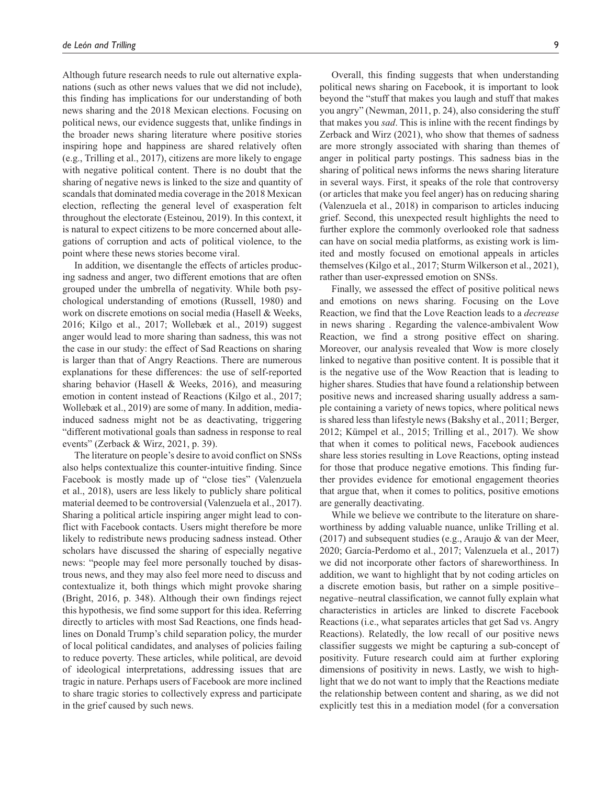Although future research needs to rule out alternative explanations (such as other news values that we did not include), this finding has implications for our understanding of both news sharing and the 2018 Mexican elections. Focusing on political news, our evidence suggests that, unlike findings in the broader news sharing literature where positive stories inspiring hope and happiness are shared relatively often (e.g., Trilling et al., 2017), citizens are more likely to engage with negative political content. There is no doubt that the sharing of negative news is linked to the size and quantity of scandals that dominated media coverage in the 2018 Mexican election, reflecting the general level of exasperation felt throughout the electorate (Esteinou, 2019). In this context, it is natural to expect citizens to be more concerned about allegations of corruption and acts of political violence, to the point where these news stories become viral.

In addition, we disentangle the effects of articles producing sadness and anger, two different emotions that are often grouped under the umbrella of negativity. While both psychological understanding of emotions (Russell, 1980) and work on discrete emotions on social media (Hasell & Weeks, 2016; Kilgo et al., 2017; Wollebæk et al., 2019) suggest anger would lead to more sharing than sadness, this was not the case in our study: the effect of Sad Reactions on sharing is larger than that of Angry Reactions. There are numerous explanations for these differences: the use of self-reported sharing behavior (Hasell & Weeks, 2016), and measuring emotion in content instead of Reactions (Kilgo et al., 2017; Wollebæk et al., 2019) are some of many. In addition, mediainduced sadness might not be as deactivating, triggering "different motivational goals than sadness in response to real events" (Zerback & Wirz, 2021, p. 39).

The literature on people's desire to avoid conflict on SNSs also helps contextualize this counter-intuitive finding. Since Facebook is mostly made up of "close ties" (Valenzuela et al., 2018), users are less likely to publicly share political material deemed to be controversial (Valenzuela et al., 2017). Sharing a political article inspiring anger might lead to conflict with Facebook contacts. Users might therefore be more likely to redistribute news producing sadness instead. Other scholars have discussed the sharing of especially negative news: "people may feel more personally touched by disastrous news, and they may also feel more need to discuss and contextualize it, both things which might provoke sharing (Bright, 2016, p. 348). Although their own findings reject this hypothesis, we find some support for this idea. Referring directly to articles with most Sad Reactions, one finds headlines on Donald Trump's child separation policy, the murder of local political candidates, and analyses of policies failing to reduce poverty. These articles, while political, are devoid of ideological interpretations, addressing issues that are tragic in nature. Perhaps users of Facebook are more inclined to share tragic stories to collectively express and participate in the grief caused by such news.

Overall, this finding suggests that when understanding political news sharing on Facebook, it is important to look beyond the "stuff that makes you laugh and stuff that makes you angry" (Newman, 2011, p. 24), also considering the stuff that makes you *sad*. This is inline with the recent findings by Zerback and Wirz (2021), who show that themes of sadness are more strongly associated with sharing than themes of anger in political party postings. This sadness bias in the sharing of political news informs the news sharing literature in several ways. First, it speaks of the role that controversy (or articles that make you feel anger) has on reducing sharing (Valenzuela et al., 2018) in comparison to articles inducing grief. Second, this unexpected result highlights the need to further explore the commonly overlooked role that sadness can have on social media platforms, as existing work is limited and mostly focused on emotional appeals in articles themselves (Kilgo et al., 2017; Sturm Wilkerson et al., 2021), rather than user-expressed emotion on SNSs.

Finally, we assessed the effect of positive political news and emotions on news sharing. Focusing on the Love Reaction, we find that the Love Reaction leads to a *decrease* in news sharing . Regarding the valence-ambivalent Wow Reaction, we find a strong positive effect on sharing. Moreover, our analysis revealed that Wow is more closely linked to negative than positive content. It is possible that it is the negative use of the Wow Reaction that is leading to higher shares. Studies that have found a relationship between positive news and increased sharing usually address a sample containing a variety of news topics, where political news is shared less than lifestyle news (Bakshy et al., 2011; Berger, 2012; Kümpel et al., 2015; Trilling et al., 2017). We show that when it comes to political news, Facebook audiences share less stories resulting in Love Reactions, opting instead for those that produce negative emotions. This finding further provides evidence for emotional engagement theories that argue that, when it comes to politics, positive emotions are generally deactivating.

While we believe we contribute to the literature on shareworthiness by adding valuable nuance, unlike Trilling et al. (2017) and subsequent studies (e.g., Araujo & van der Meer, 2020; García-Perdomo et al., 2017; Valenzuela et al., 2017) we did not incorporate other factors of shareworthiness. In addition, we want to highlight that by not coding articles on a discrete emotion basis, but rather on a simple positive– negative–neutral classification, we cannot fully explain what characteristics in articles are linked to discrete Facebook Reactions (i.e., what separates articles that get Sad vs. Angry Reactions). Relatedly, the low recall of our positive news classifier suggests we might be capturing a sub-concept of positivity. Future research could aim at further exploring dimensions of positivity in news. Lastly, we wish to highlight that we do not want to imply that the Reactions mediate the relationship between content and sharing, as we did not explicitly test this in a mediation model (for a conversation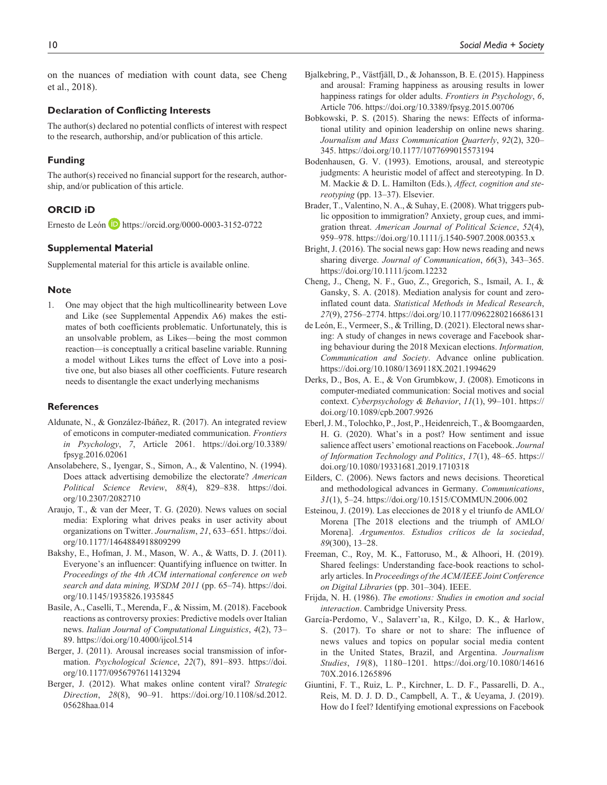on the nuances of mediation with count data, see Cheng et al., 2018).

#### **Declaration of Conflicting Interests**

The author(s) declared no potential conflicts of interest with respect to the research, authorship, and/or publication of this article.

#### **Funding**

The author(s) received no financial support for the research, authorship, and/or publication of this article.

#### **ORCID iD**

Ernesto de León **D** <https://orcid.org/0000-0003-3152-0722>

#### **Supplemental Material**

Supplemental material for this article is available online.

#### **Note**

1. One may object that the high multicollinearity between Love and Like (see Supplemental Appendix A6) makes the estimates of both coefficients problematic. Unfortunately, this is an unsolvable problem, as Likes—being the most common reaction—is conceptually a critical baseline variable. Running a model without Likes turns the effect of Love into a positive one, but also biases all other coefficients. Future research needs to disentangle the exact underlying mechanisms

#### **References**

- Aldunate, N., & González-Ibáñez, R. (2017). An integrated review of emoticons in computer-mediated communication. *Frontiers in Psychology*, *7*, Article 2061. [https://doi.org/10.3389/](https://doi.org/10.3389/fpsyg.2016.02061) [fpsyg.2016.02061](https://doi.org/10.3389/fpsyg.2016.02061)
- Ansolabehere, S., Iyengar, S., Simon, A., & Valentino, N. (1994). Does attack advertising demobilize the electorate? *American Political Science Review*, *88*(4), 829–838. [https://doi.](https://doi.org/10.2307/2082710) [org/10.2307/2082710](https://doi.org/10.2307/2082710)
- Araujo, T., & van der Meer, T. G. (2020). News values on social media: Exploring what drives peaks in user activity about organizations on Twitter. *Journalism*, *21*, 633–651. [https://doi.](https://doi.org/10.1177/1464884918809299) [org/10.1177/1464884918809299](https://doi.org/10.1177/1464884918809299)
- Bakshy, E., Hofman, J. M., Mason, W. A., & Watts, D. J. (2011). Everyone's an influencer: Quantifying influence on twitter. In *Proceedings of the 4th ACM international conference on web search and data mining, WSDM 2011* (pp. 65–74). [https://doi.](https://doi.org/10.1145/1935826.1935845) [org/10.1145/1935826.1935845](https://doi.org/10.1145/1935826.1935845)
- Basile, A., Caselli, T., Merenda, F., & Nissim, M. (2018). Facebook reactions as controversy proxies: Predictive models over Italian news. *Italian Journal of Computational Linguistics*, *4*(2), 73– 89. <https://doi.org/10.4000/ijcol.514>
- Berger, J. (2011). Arousal increases social transmission of information. *Psychological Science*, *22*(7), 891–893. [https://doi.](https://doi.org/10.1177/0956797611413294) [org/10.1177/0956797611413294](https://doi.org/10.1177/0956797611413294)
- Berger, J. (2012). What makes online content viral? *Strategic Direction*, *28*(8), 90–91. [https://doi.org/10.1108/sd.2012.](https://doi.org/10.1108/sd.2012.05628haa.014) [05628haa.014](https://doi.org/10.1108/sd.2012.05628haa.014)
- Bjalkebring, P., Västfjäll, D., & Johansson, B. E. (2015). Happiness and arousal: Framing happiness as arousing results in lower happiness ratings for older adults. *Frontiers in Psychology*, *6*, Article 706. <https://doi.org/10.3389/fpsyg.2015.00706>
- Bobkowski, P. S. (2015). Sharing the news: Effects of informational utility and opinion leadership on online news sharing. *Journalism and Mass Communication Quarterly*, *92*(2), 320– 345. <https://doi.org/10.1177/1077699015573194>
- Bodenhausen, G. V. (1993). Emotions, arousal, and stereotypic judgments: A heuristic model of affect and stereotyping. In D. M. Mackie & D. L. Hamilton (Eds.), *Affect, cognition and stereotyping* (pp. 13–37). Elsevier.
- Brader, T., Valentino, N. A., & Suhay, E. (2008). What triggers public opposition to immigration? Anxiety, group cues, and immigration threat. *American Journal of Political Science*, *52*(4), 959–978. <https://doi.org/10.1111/j.1540-5907.2008.00353.x>
- Bright, J. (2016). The social news gap: How news reading and news sharing diverge. *Journal of Communication*, *66*(3), 343–365. <https://doi.org/10.1111/jcom.12232>
- Cheng, J., Cheng, N. F., Guo, Z., Gregorich, S., Ismail, A. I., & Gansky, S. A. (2018). Mediation analysis for count and zeroinflated count data. *Statistical Methods in Medical Research*, *27*(9), 2756–2774.<https://doi.org/10.1177/0962280216686131>
- de León, E., Vermeer, S., & Trilling, D. (2021). Electoral news sharing: A study of changes in news coverage and Facebook sharing behaviour during the 2018 Mexican elections. *Information, Communication and Society*. Advance online publication. <https://doi.org/10.1080/1369118X.2021.1994629>
- Derks, D., Bos, A. E., & Von Grumbkow, J. (2008). Emoticons in computer-mediated communication: Social motives and social context. *Cyberpsychology & Behavior*, *11*(1), 99–101. [https://](https://doi.org/10.1089/cpb.2007.9926) [doi.org/10.1089/cpb.2007.9926](https://doi.org/10.1089/cpb.2007.9926)
- Eberl, J. M., Tolochko, P., Jost, P., Heidenreich, T., & Boomgaarden, H. G. (2020). What's in a post? How sentiment and issue salience affect users' emotional reactions on Facebook. *Journal of Information Technology and Politics*, *17*(1), 48–65. [https://](https://doi.org/10.1080/19331681.2019.1710318) [doi.org/10.1080/19331681.2019.1710318](https://doi.org/10.1080/19331681.2019.1710318)
- Eilders, C. (2006). News factors and news decisions. Theoretical and methodological advances in Germany. *Communications*, *31*(1), 5–24. <https://doi.org/10.1515/COMMUN.2006.002>
- Esteinou, J. (2019). Las elecciones de 2018 y el triunfo de AMLO/ Morena [The 2018 elections and the triumph of AMLO/ Morena]. *Argumentos. Estudios críticos de la sociedad*, *89*(300), 13–28.
- Freeman, C., Roy, M. K., Fattoruso, M., & Alhoori, H. (2019). Shared feelings: Understanding face-book reactions to scholarly articles. In *Proceedings of the ACM/IEEE Joint Conference on Digital Libraries* (pp. 301–304). IEEE.
- Frijda, N. H. (1986). *The emotions: Studies in emotion and social interaction*. Cambridge University Press.
- García-Perdomo, V., Salaverr'ıa, R., Kilgo, D. K., & Harlow, S. (2017). To share or not to share: The influence of news values and topics on popular social media content in the United States, Brazil, and Argentina. *Journalism Studies*, *19*(8), 1180–1201. [https://doi.org/10.1080/14616](https://doi.org/10.1080/1461670X.2016.1265896) [70X.2016.1265896](https://doi.org/10.1080/1461670X.2016.1265896)
- Giuntini, F. T., Ruiz, L. P., Kirchner, L. D. F., Passarelli, D. A., Reis, M. D. J. D. D., Campbell, A. T., & Ueyama, J. (2019). How do I feel? Identifying emotional expressions on Facebook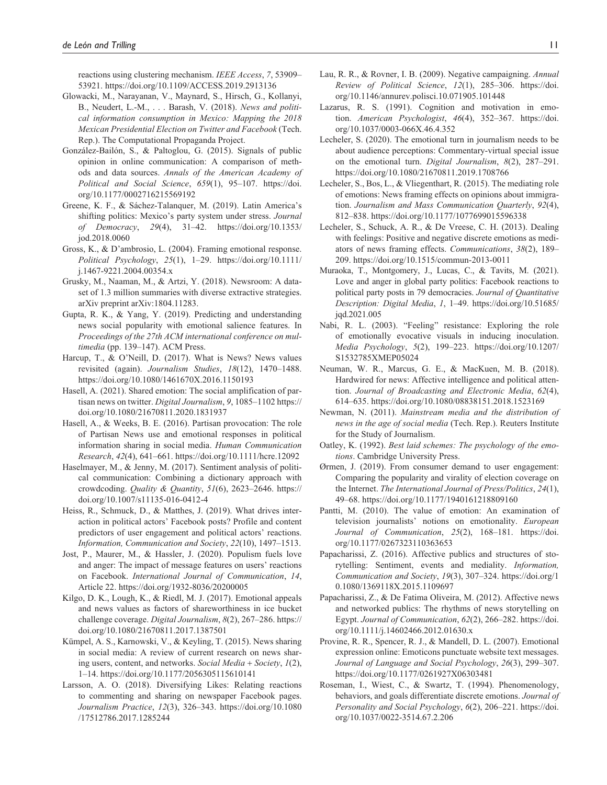reactions using clustering mechanism. *IEEE Access*, *7*, 53909– 53921. <https://doi.org/10.1109/ACCESS.2019.2913136>

- Glowacki, M., Narayanan, V., Maynard, S., Hirsch, G., Kollanyi, B., Neudert, L.-M., . . . Barash, V. (2018). *News and political information consumption in Mexico: Mapping the 2018 Mexican Presidential Election on Twitter and Facebook* (Tech. Rep.). The Computational Propaganda Project.
- González-Bailón, S., & Paltoglou, G. (2015). Signals of public opinion in online communication: A comparison of methods and data sources. *Annals of the American Academy of Political and Social Science*, *659*(1), 95–107. [https://doi.](https://doi.org/10.1177/0002716215569192) [org/10.1177/0002716215569192](https://doi.org/10.1177/0002716215569192)
- Greene, K. F., & Sáchez-Talanquer, M. (2019). Latin America's shifting politics: Mexico's party system under stress. *Journal of Democracy*, *29*(4), 31–42. [https://doi.org/10.1353/](https://doi.org/10.1353/jod.2018.0060) [jod.2018.0060](https://doi.org/10.1353/jod.2018.0060)
- Gross, K., & D'ambrosio, L. (2004). Framing emotional response. *Political Psychology*, *25*(1), 1–29. [https://doi.org/10.1111/](https://doi.org/10.1111/j.1467-9221.2004.00354.x) [j.1467-9221.2004.00354.x](https://doi.org/10.1111/j.1467-9221.2004.00354.x)
- Grusky, M., Naaman, M., & Artzi, Y. (2018). Newsroom: A dataset of 1.3 million summaries with diverse extractive strategies. arXiv preprint arXiv:1804.11283.
- Gupta, R. K., & Yang, Y. (2019). Predicting and understanding news social popularity with emotional salience features. In *Proceedings of the 27th ACM international conference on multimedia* (pp. 139–147). ACM Press.
- Harcup, T., & O'Neill, D. (2017). What is News? News values revisited (again). *Journalism Studies*, *18*(12), 1470–1488. <https://doi.org/10.1080/1461670X.2016.1150193>
- Hasell, A. (2021). Shared emotion: The social amplification of partisan news on twitter. *Digital Journalism*, *9*, 1085–1102 [https://](https://doi.org/10.1080/21670811.2020.1831937) [doi.org/10.1080/21670811.2020.1831937](https://doi.org/10.1080/21670811.2020.1831937)
- Hasell, A., & Weeks, B. E. (2016). Partisan provocation: The role of Partisan News use and emotional responses in political information sharing in social media. *Human Communication Research*, *42*(4), 641–661. <https://doi.org/10.1111/hcre.12092>
- Haselmayer, M., & Jenny, M. (2017). Sentiment analysis of political communication: Combining a dictionary approach with crowdcoding. *Quality & Quantity*, *51*(6), 2623–2646. [https://](https://doi.org/10.1007/s11135-016-0412-4) [doi.org/10.1007/s11135-016-0412-4](https://doi.org/10.1007/s11135-016-0412-4)
- Heiss, R., Schmuck, D., & Matthes, J. (2019). What drives interaction in political actors' Facebook posts? Profile and content predictors of user engagement and political actors' reactions. *Information, Communication and Society*, *22*(10), 1497–1513.
- Jost, P., Maurer, M., & Hassler, J. (2020). Populism fuels love and anger: The impact of message features on users' reactions on Facebook. *International Journal of Communication*, *14*, Article 22. <https://doi.org/1932-8036/20200005>
- Kilgo, D. K., Lough, K., & Riedl, M. J. (2017). Emotional appeals and news values as factors of shareworthiness in ice bucket challenge coverage. *Digital Journalism*, *8*(2), 267–286. [https://](https://doi.org/10.1080/21670811.2017.1387501) [doi.org/10.1080/21670811.2017.1387501](https://doi.org/10.1080/21670811.2017.1387501)
- Kümpel, A. S., Karnowski, V., & Keyling, T. (2015). News sharing in social media: A review of current research on news sharing users, content, and networks. *Social Media* + *Society*, *1*(2), 1–14. <https://doi.org/10.1177/2056305115610141>
- Larsson, A. O. (2018). Diversifying Likes: Relating reactions to commenting and sharing on newspaper Facebook pages. *Journalism Practice*, *12*(3), 326–343. [https://doi.org/10.1080](https://doi.org/10.1080/17512786.2017.1285244) [/17512786.2017.1285244](https://doi.org/10.1080/17512786.2017.1285244)
- Lau, R. R., & Rovner, I. B. (2009). Negative campaigning. *Annual Review of Political Science*, *12*(1), 285–306. [https://doi.](https://doi.org/10.1146/annurev.polisci.10.071905.101448) [org/10.1146/annurev.polisci.10.071905.101448](https://doi.org/10.1146/annurev.polisci.10.071905.101448)
- Lazarus, R. S. (1991). Cognition and motivation in emotion. *American Psychologist*, *46*(4), 352–367. [https://doi.](https://doi.org/10.1037/0003-066X.46.4.352) [org/10.1037/0003-066X.46.4.352](https://doi.org/10.1037/0003-066X.46.4.352)
- Lecheler, S. (2020). The emotional turn in journalism needs to be about audience perceptions: Commentary-virtual special issue on the emotional turn. *Digital Journalism*, *8*(2), 287–291. <https://doi.org/10.1080/21670811.2019.1708766>
- Lecheler, S., Bos, L., & Vliegenthart, R. (2015). The mediating role of emotions: News framing effects on opinions about immigration. *Journalism and Mass Communication Quarterly*, *92*(4), 812–838.<https://doi.org/10.1177/1077699015596338>
- Lecheler, S., Schuck, A. R., & De Vreese, C. H. (2013). Dealing with feelings: Positive and negative discrete emotions as mediators of news framing effects. *Communications*, *38*(2), 189– 209.<https://doi.org/10.1515/commun-2013-0011>
- Muraoka, T., Montgomery, J., Lucas, C., & Tavits, M. (2021). Love and anger in global party politics: Facebook reactions to political party posts in 79 democracies. *Journal of Quantitative Description: Digital Media*, *1*, 1–49. [https://doi.org/10.51685/](https://doi.org/10.51685/jqd.2021.005) [jqd.2021.005](https://doi.org/10.51685/jqd.2021.005)
- Nabi, R. L. (2003). "Feeling" resistance: Exploring the role of emotionally evocative visuals in inducing inoculation. *Media Psychology*, *5*(2), 199–223. [https://doi.org/10.1207/](https://doi.org/10.1207/S1532785XMEP05024) [S1532785XMEP05024](https://doi.org/10.1207/S1532785XMEP05024)
- Neuman, W. R., Marcus, G. E., & MacKuen, M. B. (2018). Hardwired for news: Affective intelligence and political attention. *Journal of Broadcasting and Electronic Media*, *62*(4), 614–635.<https://doi.org/10.1080/08838151.2018.1523169>
- Newman, N. (2011). *Mainstream media and the distribution of news in the age of social media* (Tech. Rep.). Reuters Institute for the Study of Journalism.
- Oatley, K. (1992). *Best laid schemes: The psychology of the emotions*. Cambridge University Press.
- Ørmen, J. (2019). From consumer demand to user engagement: Comparing the popularity and virality of election coverage on the Internet. *The International Journal of Press/Politics*, *24*(1), 49–68. <https://doi.org/10.1177/1940161218809160>
- Pantti, M. (2010). The value of emotion: An examination of television journalists' notions on emotionality. *European Journal of Communication*, *25*(2), 168–181. [https://doi.](https://doi.org/10.1177/0267323110363653) [org/10.1177/0267323110363653](https://doi.org/10.1177/0267323110363653)
- Papacharissi, Z. (2016). Affective publics and structures of storytelling: Sentiment, events and mediality. *Information, Communication and Society*, *19*(3), 307–324. [https://doi.org/1](https://doi.org/10.1080/1369118X.2015.1109697) [0.1080/1369118X.2015.1109697](https://doi.org/10.1080/1369118X.2015.1109697)
- Papacharissi, Z., & De Fatima Oliveira, M. (2012). Affective news and networked publics: The rhythms of news storytelling on Egypt. *Journal of Communication*, *62*(2), 266–282. [https://doi.](https://doi.org/10.1111/j.14602466.2012.01630.x) [org/10.1111/j.14602466.2012.01630.x](https://doi.org/10.1111/j.14602466.2012.01630.x)
- Provine, R. R., Spencer, R. J., & Mandell, D. L. (2007). Emotional expression online: Emoticons punctuate website text messages. *Journal of Language and Social Psychology*, *26*(3), 299–307. <https://doi.org/10.1177/0261927X06303481>
- Roseman, I., Wiest, C., & Swartz, T. (1994). Phenomenology, behaviors, and goals differentiate discrete emotions. *Journal of Personality and Social Psychology*, *6*(2), 206–221. [https://doi.](https://doi.org/10.1037/0022-3514.67.2.206) [org/10.1037/0022-3514.67.2.206](https://doi.org/10.1037/0022-3514.67.2.206)